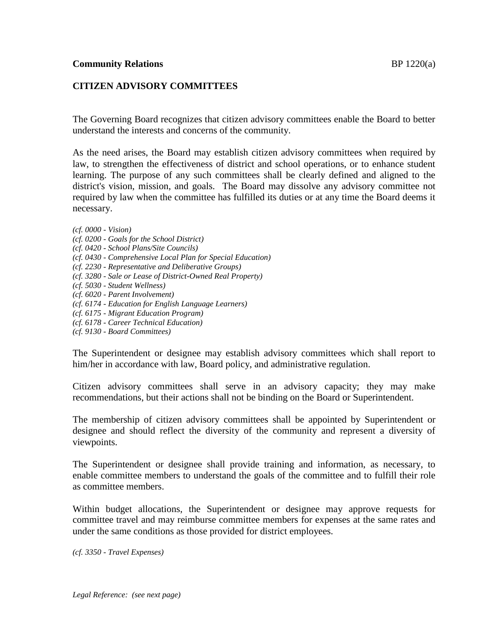# **CITIZEN ADVISORY COMMITTEES**

The Governing Board recognizes that citizen advisory committees enable the Board to better understand the interests and concerns of the community.

As the need arises, the Board may establish citizen advisory committees when required by law, to strengthen the effectiveness of district and school operations, or to enhance student learning. The purpose of any such committees shall be clearly defined and aligned to the district's vision, mission, and goals. The Board may dissolve any advisory committee not required by law when the committee has fulfilled its duties or at any time the Board deems it necessary.

*(cf. 0000 - Vision)*

- *(cf. 0200 - Goals for the School District)*
- *(cf. 0420 - School Plans/Site Councils)*
- *(cf. 0430 - Comprehensive Local Plan for Special Education)*
- *(cf. 2230 - Representative and Deliberative Groups)*
- *(cf. 3280 - Sale or Lease of District-Owned Real Property)*
- *(cf. 5030 - Student Wellness)*
- *(cf. 6020 - Parent Involvement)*
- *(cf. 6174 - Education for English Language Learners)*
- *(cf. 6175 - Migrant Education Program)*
- *(cf. 6178 - Career Technical Education)*
- *(cf. 9130 - Board Committees)*

The Superintendent or designee may establish advisory committees which shall report to him/her in accordance with law, Board policy, and administrative regulation.

Citizen advisory committees shall serve in an advisory capacity; they may make recommendations, but their actions shall not be binding on the Board or Superintendent.

The membership of citizen advisory committees shall be appointed by Superintendent or designee and should reflect the diversity of the community and represent a diversity of viewpoints.

The Superintendent or designee shall provide training and information, as necessary, to enable committee members to understand the goals of the committee and to fulfill their role as committee members.

Within budget allocations, the Superintendent or designee may approve requests for committee travel and may reimburse committee members for expenses at the same rates and under the same conditions as those provided for district employees.

*(cf. 3350 - Travel Expenses)*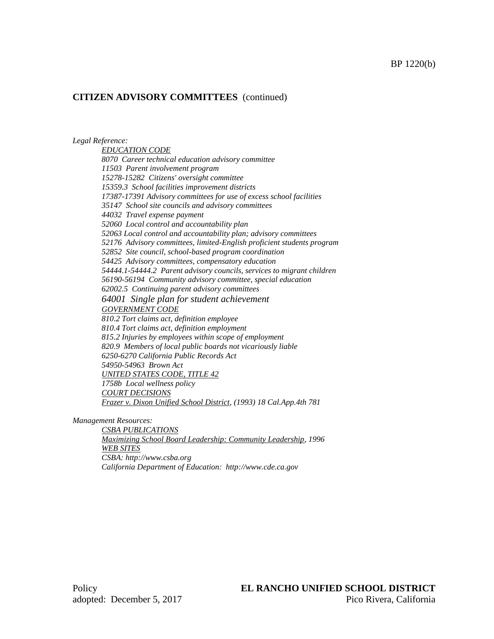#### *Legal Reference:*

*EDUCATION CODE 8070 Career technical education advisory committee 11503 Parent involvement program 15278-15282 Citizens' oversight committee 15359.3 School facilities improvement districts 17387-17391 Advisory committees for use of excess school facilities 35147 School site councils and advisory committees 44032 Travel expense payment 52060 Local control and accountability plan 52063 Local control and accountability plan; advisory committees 52176 Advisory committees, limited-English proficient students program 52852 Site council, school-based program coordination 54425 Advisory committees, compensatory education 54444.1-54444.2 Parent advisory councils, services to migrant children 56190-56194 Community advisory committee, special education 62002.5 Continuing parent advisory committees 64001 Single plan for student achievement GOVERNMENT CODE 810.2 Tort claims act, definition employee 810.4 Tort claims act, definition employment 815.2 Injuries by employees within scope of employment 820.9 Members of local public boards not vicariously liable 6250-6270 California Public Records Act 54950-54963 Brown Act UNITED STATES CODE, TITLE 42 1758b Local wellness policy COURT DECISIONS Frazer v. Dixon Unified School District, (1993) 18 Cal.App.4th 781*

*Management Resources:*

*CSBA PUBLICATIONS Maximizing School Board Leadership: Community Leadership, 1996 WEB SITES CSBA: http://www.csba.org California Department of Education: http://www.cde.ca.gov*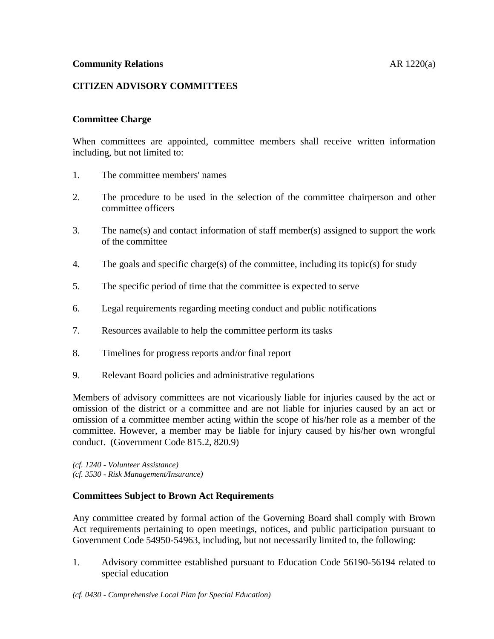# **CITIZEN ADVISORY COMMITTEES**

### **Committee Charge**

When committees are appointed, committee members shall receive written information including, but not limited to:

- 1. The committee members' names
- 2. The procedure to be used in the selection of the committee chairperson and other committee officers
- 3. The name(s) and contact information of staff member(s) assigned to support the work of the committee
- 4. The goals and specific charge(s) of the committee, including its topic(s) for study
- 5. The specific period of time that the committee is expected to serve
- 6. Legal requirements regarding meeting conduct and public notifications
- 7. Resources available to help the committee perform its tasks
- 8. Timelines for progress reports and/or final report
- 9. Relevant Board policies and administrative regulations

Members of advisory committees are not vicariously liable for injuries caused by the act or omission of the district or a committee and are not liable for injuries caused by an act or omission of a committee member acting within the scope of his/her role as a member of the committee. However, a member may be liable for injury caused by his/her own wrongful conduct. (Government Code 815.2, 820.9)

*(cf. 1240 - Volunteer Assistance) (cf. 3530 - Risk Management/Insurance)*

#### **Committees Subject to Brown Act Requirements**

Any committee created by formal action of the Governing Board shall comply with Brown Act requirements pertaining to open meetings, notices, and public participation pursuant to Government Code 54950-54963, including, but not necessarily limited to, the following:

1. Advisory committee established pursuant to Education Code 56190-56194 related to special education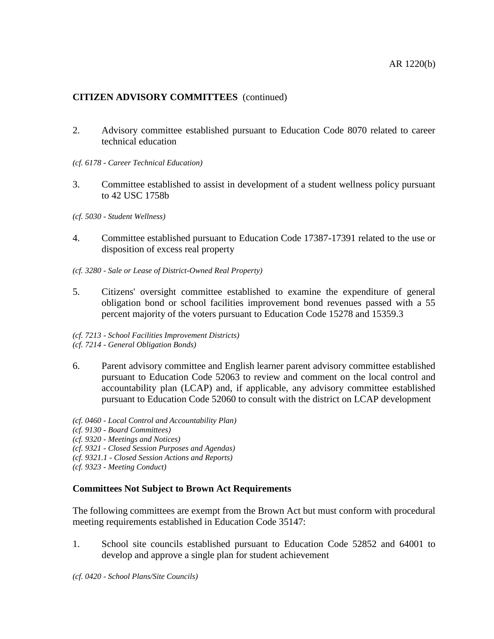- 2. Advisory committee established pursuant to Education Code 8070 related to career technical education
- *(cf. 6178 - Career Technical Education)*
- 3. Committee established to assist in development of a student wellness policy pursuant to 42 USC 1758b
- *(cf. 5030 - Student Wellness)*
- 4. Committee established pursuant to Education Code 17387-17391 related to the use or disposition of excess real property
- *(cf. 3280 - Sale or Lease of District-Owned Real Property)*
- 5. Citizens' oversight committee established to examine the expenditure of general obligation bond or school facilities improvement bond revenues passed with a 55 percent majority of the voters pursuant to Education Code 15278 and 15359.3
- *(cf. 7213 - School Facilities Improvement Districts)*
- *(cf. 7214 - General Obligation Bonds)*
- 6. Parent advisory committee and English learner parent advisory committee established pursuant to Education Code 52063 to review and comment on the local control and accountability plan (LCAP) and, if applicable, any advisory committee established pursuant to Education Code 52060 to consult with the district on LCAP development
- *(cf. 0460 - Local Control and Accountability Plan)*
- *(cf. 9130 - Board Committees)*
- *(cf. 9320 - Meetings and Notices)*
- *(cf. 9321 - Closed Session Purposes and Agendas)*
- *(cf. 9321.1 - Closed Session Actions and Reports)*
- *(cf. 9323 - Meeting Conduct)*

# **Committees Not Subject to Brown Act Requirements**

The following committees are exempt from the Brown Act but must conform with procedural meeting requirements established in Education Code 35147:

1. School site councils established pursuant to Education Code 52852 and 64001 to develop and approve a single plan for student achievement

*(cf. 0420 - School Plans/Site Councils)*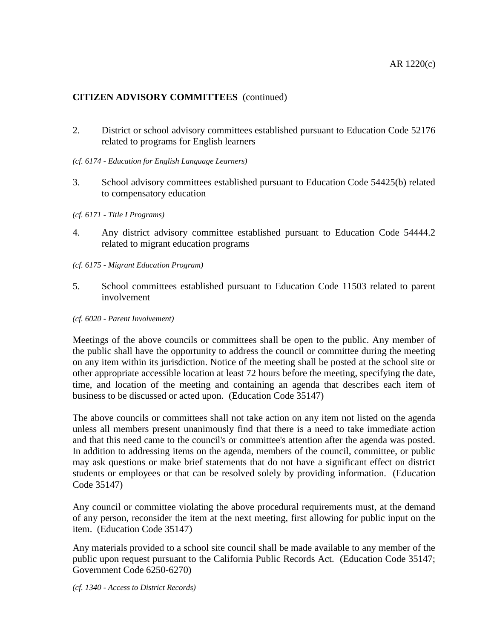- 2. District or school advisory committees established pursuant to Education Code 52176 related to programs for English learners
- *(cf. 6174 - Education for English Language Learners)*
- 3. School advisory committees established pursuant to Education Code 54425(b) related to compensatory education
- *(cf. 6171 - Title I Programs)*
- 4. Any district advisory committee established pursuant to Education Code 54444.2 related to migrant education programs
- *(cf. 6175 - Migrant Education Program)*
- 5. School committees established pursuant to Education Code 11503 related to parent involvement
- *(cf. 6020 - Parent Involvement)*

Meetings of the above councils or committees shall be open to the public. Any member of the public shall have the opportunity to address the council or committee during the meeting on any item within its jurisdiction. Notice of the meeting shall be posted at the school site or other appropriate accessible location at least 72 hours before the meeting, specifying the date, time, and location of the meeting and containing an agenda that describes each item of business to be discussed or acted upon. (Education Code 35147)

The above councils or committees shall not take action on any item not listed on the agenda unless all members present unanimously find that there is a need to take immediate action and that this need came to the council's or committee's attention after the agenda was posted. In addition to addressing items on the agenda, members of the council, committee, or public may ask questions or make brief statements that do not have a significant effect on district students or employees or that can be resolved solely by providing information. (Education Code 35147)

Any council or committee violating the above procedural requirements must, at the demand of any person, reconsider the item at the next meeting, first allowing for public input on the item. (Education Code 35147)

Any materials provided to a school site council shall be made available to any member of the public upon request pursuant to the California Public Records Act. (Education Code 35147; Government Code 6250-6270)